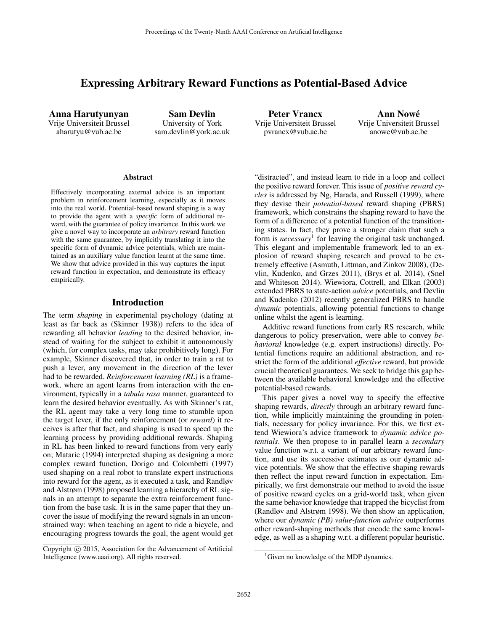# Expressing Arbitrary Reward Functions as Potential-Based Advice

Anna Harutyunyan Vrije Universiteit Brussel aharutyu@vub.ac.be

Sam Devlin University of York sam.devlin@york.ac.uk

Peter Vrancx Vrije Universiteit Brussel pvrancx@vub.ac.be

Ann Nowe´ Vrije Universiteit Brussel anowe@vub.ac.be

#### **Abstract**

Effectively incorporating external advice is an important problem in reinforcement learning, especially as it moves into the real world. Potential-based reward shaping is a way to provide the agent with a *specific* form of additional reward, with the guarantee of policy invariance. In this work we give a novel way to incorporate an *arbitrary* reward function with the same guarantee, by implicitly translating it into the specific form of dynamic advice potentials, which are maintained as an auxiliary value function learnt at the same time. We show that advice provided in this way captures the input reward function in expectation, and demonstrate its efficacy empirically.

### Introduction

The term *shaping* in experimental psychology (dating at least as far back as (Skinner 1938)) refers to the idea of rewarding all behavior *leading* to the desired behavior, instead of waiting for the subject to exhibit it autonomously (which, for complex tasks, may take prohibitively long). For example, Skinner discovered that, in order to train a rat to push a lever, any movement in the direction of the lever had to be rewarded. *Reinforcement learning (RL)* is a framework, where an agent learns from interaction with the environment, typically in a *tabula rasa* manner, guaranteed to learn the desired behavior eventually. As with Skinner's rat, the RL agent may take a very long time to stumble upon the target lever, if the only reinforcement (or *reward*) it receives is after that fact, and shaping is used to speed up the learning process by providing additional rewards. Shaping in RL has been linked to reward functions from very early on; Mataric (1994) interpreted shaping as designing a more complex reward function, Dorigo and Colombetti (1997) used shaping on a real robot to translate expert instructions into reward for the agent, as it executed a task, and Randløv and Alstrøm (1998) proposed learning a hierarchy of RL signals in an attempt to separate the extra reinforcement function from the base task. It is in the same paper that they uncover the issue of modifying the reward signals in an unconstrained way: when teaching an agent to ride a bicycle, and encouraging progress towards the goal, the agent would get

Copyright (c) 2015, Association for the Advancement of Artificial Intelligence (www.aaai.org). All rights reserved.

"distracted", and instead learn to ride in a loop and collect the positive reward forever. This issue of *positive reward cycles* is addressed by Ng, Harada, and Russell (1999), where they devise their *potential-based* reward shaping (PBRS) framework, which constrains the shaping reward to have the form of a difference of a potential function of the transitioning states. In fact, they prove a stronger claim that such a form is *necessary*<sup>1</sup> for leaving the original task unchanged. This elegant and implementable framework led to an explosion of reward shaping research and proved to be extremely effective (Asmuth, Littman, and Zinkov 2008), (Devlin, Kudenko, and Grzes 2011), (Brys et al. 2014), (Snel and Whiteson 2014). Wiewiora, Cottrell, and Elkan (2003) extended PBRS to state-action *advice* potentials, and Devlin and Kudenko (2012) recently generalized PBRS to handle *dynamic* potentials, allowing potential functions to change online whilst the agent is learning.

Additive reward functions from early RS research, while dangerous to policy preservation, were able to convey *behavioral* knowledge (e.g. expert instructions) directly. Potential functions require an additional abstraction, and restrict the form of the additional *effective* reward, but provide crucial theoretical guarantees. We seek to bridge this gap between the available behavioral knowledge and the effective potential-based rewards.

This paper gives a novel way to specify the effective shaping rewards, *directly* through an arbitrary reward function, while implicitly maintaining the grounding in potentials, necessary for policy invariance. For this, we first extend Wiewiora's advice framework to *dynamic advice potentials*. We then propose to in parallel learn a *secondary* value function w.r.t. a variant of our arbitrary reward function, and use its successive estimates as our dynamic advice potentials. We show that the effective shaping rewards then reflect the input reward function in expectation. Empirically, we first demonstrate our method to avoid the issue of positive reward cycles on a grid-world task, when given the same behavior knowledge that trapped the bicyclist from (Randløv and Alstrøm 1998). We then show an application, where our *dynamic (PB) value-function advice* outperforms other reward-shaping methods that encode the same knowledge, as well as a shaping w.r.t. a different popular heuristic.

<sup>&</sup>lt;sup>1</sup>Given no knowledge of the MDP dynamics.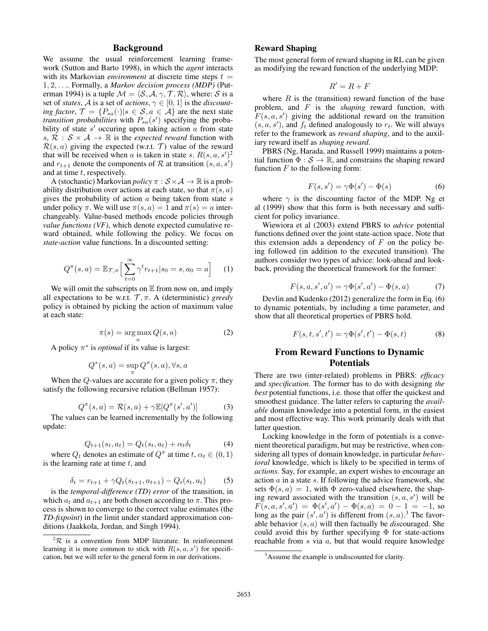# Background

We assume the usual reinforcement learning framework (Sutton and Barto 1998), in which the *agent* interacts with its Markovian *environment* at discrete time steps  $t =$ 1, 2, . . .. Formally, a *Markov decision process (MDP)* (Puterman 1994) is a tuple  $\mathcal{M} = \langle \mathcal{S}, \mathcal{A}, \gamma, \mathcal{T}, \mathcal{R} \rangle$ , where: S is a set of *states*, *A* is a set of *actions*,  $\gamma \in [0, 1]$  is the *discounting factor*,  $\mathcal{T} = \{P_{sa}(\cdot) | s \in \mathcal{S}, a \in \mathcal{A}\}\$ are the next state *transition probabilities* with  $P_{sa}(s')$  specifying the probability of state  $s'$  occuring upon taking action  $\alpha$  from state s,  $\mathcal{R}$  :  $\mathcal{S} \times \mathcal{A} \rightarrow \mathbb{R}$  is the *expected reward* function with  $\mathcal{R}(s, a)$  giving the expected (w.r.t. T) value of the reward that will be received when a is taken in state s.  $R(s, a, s')^2$ and  $r_{t+1}$  denote the components of R at transition  $(s, a, s')$ and at time  $t$ , respectively.

A (stochastic) Markovian *policy*  $\pi : S \times A \rightarrow \mathbb{R}$  is a probability distribution over actions at each state, so that  $\pi(s, a)$ gives the probability of action  $\alpha$  being taken from state  $\alpha$ under policy  $\pi$ . We will use  $\pi(s, a) = 1$  and  $\pi(s) = a$  interchangeably. Value-based methods encode policies through *value functions (VF)*, which denote expected cumulative reward obtained, while following the policy. We focus on *state-action* value functions. In a discounted setting:

$$
Q^{\pi}(s, a) = \mathbb{E}_{\mathcal{T}, \pi} \Big[ \sum_{t=0}^{\infty} \gamma^t r_{t+1} | s_0 = s, a_0 = a \Big]
$$
 (1)

We will omit the subscripts on  $E$  from now on, and imply all expectations to be w.r.t.  $\mathcal{T}, \pi$ . A (deterministic) *greedy* policy is obtained by picking the action of maximum value at each state:

$$
\pi(s) = \underset{a}{\arg\max} Q(s, a) \tag{2}
$$

A policy  $\pi^*$  is *optimal* if its value is largest:

$$
Q^*(s,a) = \sup_{\pi} Q^{\pi}(s,a), \forall s,a
$$

When the Q-values are accurate for a given policy  $\pi$ , they satisfy the following recursive relation (Bellman 1957):

$$
Q^{\pi}(s, a) = \mathcal{R}(s, a) + \gamma \mathbb{E}[Q^{\pi}(s', a')]
$$
 (3)

The values can be learned incrementally by the following update:

$$
Q_{t+1}(s_t, a_t) = Q_t(s_t, a_t) + \alpha_t \delta_t \tag{4}
$$

where  $Q_t$  denotes an estimate of  $Q^{\pi}$  at time  $t, \alpha_t \in (0, 1)$ is the learning rate at time  $t$ , and

$$
\delta_t = r_{t+1} + \gamma Q_t(s_{t+1}, a_{t+1}) - Q_t(s_t, a_t)
$$
 (5)

is the *temporal-difference (TD) error* of the transition, in which  $a_t$  and  $a_{t+1}$  are both chosen according to  $\pi$ . This process is shown to converge to the correct value estimates (the *TD-fixpoint*) in the limit under standard approximation conditions (Jaakkola, Jordan, and Singh 1994).

## Reward Shaping

The most general form of reward shaping in RL can be given as modifying the reward function of the underlying MDP:

$$
R'=R+F
$$

where  $R$  is the (transition) reward function of the base problem, and F is the *shaping* reward function, with  $F(s, a, s')$  giving the additional reward on the transition  $(s, a, s')$ , and  $f_t$  defined analogously to  $r_t$ . We will always refer to the framework as *reward shaping*, and to the auxiliary reward itself as *shaping reward*.

PBRS (Ng, Harada, and Russell 1999) maintains a potential function  $\Phi : \mathcal{S} \to \mathbb{R}$ , and constrains the shaping reward function  $F$  to the following form:

$$
F(s, s') = \gamma \Phi(s') - \Phi(s)
$$
 (6)

where  $\gamma$  is the discounting factor of the MDP. Ng et al (1999) show that this form is both necessary and sufficient for policy invariance.

Wiewiora et al (2003) extend PBRS to *advice* potential functions defined over the joint state-action space. Note that this extension adds a dependency of  $F$  on the policy being followed (in addition to the executed transition). The authors consider two types of advice: look-ahead and lookback, providing the theoretical framework for the former:

$$
F(s, a, s', a') = \gamma \Phi(s', a') - \Phi(s, a)
$$
 (7)

Devlin and Kudenko (2012) generalize the form in Eq. (6) to dynamic potentials, by including a time parameter, and show that all theoretical properties of PBRS hold.

$$
F(s, t, s', t') = \gamma \Phi(s', t') - \Phi(s, t)
$$
 (8)

# From Reward Functions to Dynamic Potentials

There are two (inter-related) problems in PBRS: *efficacy* and *specification*. The former has to do with designing *the best* potential functions, i.e. those that offer the quickest and smoothest guidance. The latter refers to capturing the *available* domain knowledge into a potential form, in the easiest and most effective way. This work primarily deals with that latter question.

Locking knowledge in the form of potentials is a convenient theoretical paradigm, but may be restrictive, when considering all types of domain knowledge, in particular *behavioral* knowledge, which is likely to be specified in terms of *actions*. Say, for example, an expert wishes to encourage an action  $a$  in a state  $s$ . If following the advice framework, she sets  $\Phi(s, a) = 1$ , with  $\Phi$  zero-valued elsewhere, the shaping reward associated with the transition  $(s, a, s')$  will be  $F(s, a, s', a') = \Phi(s', a') - \Phi(s, a) = 0 - 1 = -1$ , so long as the pair  $(s', a')$  is different from  $(s, a)$ .<sup>3</sup> The favorable behavior (s, a) will then factually be *dis*couraged. She could avoid this by further specifying  $\Phi$  for state-actions reachable from s via a, but that would require knowledge

 ${}^{2}R$  is a convention from MDP literature. In reinforcement learning it is more common to stick with  $R(s, a, s')$  for specification, but we will refer to the general form in our derivations.

<sup>&</sup>lt;sup>3</sup>Assume the example is undiscounted for clarity.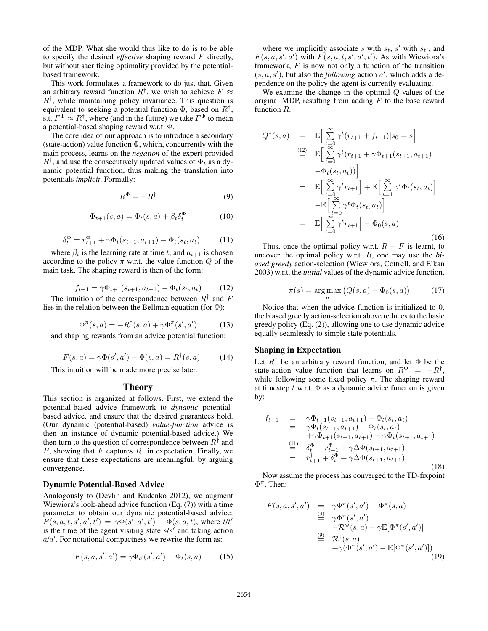of the MDP. What she would thus like to do is to be able to specify the desired *effective* shaping reward F directly, but without sacrificing optimality provided by the potentialbased framework.

This work formulates a framework to do just that. Given an arbitrary reward function  $R^{\dagger}$ , we wish to achieve  $F \approx$  $R^{\dagger}$ , while maintaining policy invariance. This question is equivalent to seeking a potential function  $\Phi$ , based on  $R^{\dagger}$ , s.t.  $F^{\Phi} \approx R^{\dagger}$ , where (and in the future) we take  $F^{\Phi}$  to mean a potential-based shaping reward w.r.t. Φ.

The core idea of our approach is to introduce a secondary (state-action) value function  $\Phi$ , which, concurrently with the main process, learns on the *negation* of the expert-provided  $R^{\dagger}$ , and use the consecutively updated values of  $\Phi_t$  as a dynamic potential function, thus making the translation into potentials *implicit*. Formally:

$$
R^{\Phi} = -R^{\dagger} \tag{9}
$$

$$
\Phi_{t+1}(s,a) = \Phi_t(s,a) + \beta_t \delta_t^{\Phi} \tag{10}
$$

$$
\delta_t^{\Phi} = r_{t+1}^{\Phi} + \gamma \Phi_t(s_{t+1}, a_{t+1}) - \Phi_t(s_t, a_t)
$$
 (11)

where  $\beta_t$  is the learning rate at time t, and  $a_{t+1}$  is chosen according to the policy  $\pi$  w.r.t. the value function  $Q$  of the main task. The shaping reward is then of the form:

$$
f_{t+1} = \gamma \Phi_{t+1}(s_{t+1}, a_{t+1}) - \Phi_t(s_t, a_t)
$$
 (12)

The intuition of the correspondence between  $R^{\dagger}$  and F lies in the relation between the Bellman equation (for  $\Phi$ ):

$$
\Phi^{\pi}(s, a) = -R^{\dagger}(s, a) + \gamma \Phi^{\pi}(s', a')
$$
 (13)

and shaping rewards from an advice potential function:

$$
F(s, a) = \gamma \Phi(s', a') - \Phi(s, a) = R^{\dagger}(s, a)
$$
 (14)

This intuition will be made more precise later.

### Theory

This section is organized at follows. First, we extend the potential-based advice framework to *dynamic* potentialbased advice, and ensure that the desired guarantees hold. (Our dynamic (potential-based) *value-function* advice is then an instance of dynamic potential-based advice.) We then turn to the question of correspondence between  $R^{\dagger}$  and F, showing that F captures  $R^{\dagger}$  in expectation. Finally, we ensure that these expectations are meaningful, by arguing convergence.

#### Dynamic Potential-Based Advice

Analogously to (Devlin and Kudenko 2012), we augment Wiewiora's look-ahead advice function (Eq. (7)) with a time parameter to obtain our dynamic potential-based advice:  $F(s, a, t, s', a', t') = \gamma \Phi(s', a', t') - \Phi(s, a, t)$ , where  $t/t'$ is the time of the agent visiting state  $s/s'$  and taking action  $a/a'$ . For notational compactness we rewrite the form as:

$$
F(s, a, s', a') = \gamma \Phi_{t'}(s', a') - \Phi_t(s, a)
$$
 (15)

where we implicitly associate s with  $s_t$ , s' with  $s_{t'}$ , and  $F(s, a, s', a')$  with  $F(s, a, t, s', a', t')$ . As with Wiewiora's framework,  $F$  is now not only a function of the transition  $(s, a, s')$ , but also the *following* action  $a'$ , which adds a dependence on the policy the agent is currently evaluating.

We examine the change in the optimal Q-values of the original MDP, resulting from adding  $F$  to the base reward function R.

$$
Q^*(s, a) = \mathbb{E}\Big[\sum_{t=0}^{\infty} \gamma^t (r_{t+1} + f_{t+1}) | s_0 = s \Big]
$$
  
\n
$$
\stackrel{(12)}{=} \mathbb{E}\Big[\sum_{t=0}^{\infty} \gamma^t (r_{t+1} + \gamma \Phi_{t+1}(s_{t+1}, a_{t+1}) -\Phi_t(s_t, a_t))\Big]
$$
  
\n
$$
= \mathbb{E}\Big[\sum_{t=0}^{\infty} \gamma^t r_{t+1}\Big] + \mathbb{E}\Big[\sum_{t=1}^{\infty} \gamma^t \Phi_t(s_t, a_t)\Big]
$$
  
\n
$$
- \mathbb{E}\Big[\sum_{t=0}^{\infty} \gamma^t \Phi_t(s_t, a_t)\Big]
$$
  
\n
$$
= \mathbb{E}\Big[\sum_{t=0}^{\infty} \gamma^t r_{t+1}\Big] - \Phi_0(s, a)
$$
  
\n(16)

Thus, once the optimal policy w.r.t.  $R + F$  is learnt, to uncover the optimal policy w.r.t. R, one may use the *biased greedy* action-selection (Wiewiora, Cottrell, and Elkan 2003) w.r.t. the *initial* values of the dynamic advice function.

$$
\pi(s) = \underset{a}{\arg\max} \left( Q(s, a) + \Phi_0(s, a) \right) \tag{17}
$$

Notice that when the advice function is initialized to 0, the biased greedy action-selection above reduces to the basic greedy policy (Eq. (2)), allowing one to use dynamic advice equally seamlessly to simple state potentials.

### Shaping in Expectation

Let  $R^{\dagger}$  be an arbitrary reward function, and let  $\Phi$  be the state-action value function that learns on  $R^{\Phi} = -R^{\dagger}$ , while following some fixed policy  $\pi$ . The shaping reward at timestep  $t$  w.r.t.  $\Phi$  as a dynamic advice function is given by:

$$
f_{t+1} = \gamma \Phi_{t+1}(s_{t+1}, a_{t+1}) - \Phi_t(s_t, a_t)
$$
  
\n
$$
= \gamma \Phi_t(s_{t+1}, a_{t+1}) - \Phi_t(s_t, a_t)
$$
  
\n
$$
+ \gamma \Phi_{t+1}(s_{t+1}, a_{t+1}) - \gamma \Phi_t(s_{t+1}, a_{t+1})
$$
  
\n
$$
\stackrel{(1)}{=} \delta_t^{\Phi} - r_{t+1}^{\Phi} + \gamma \Delta \Phi(s_{t+1}, a_{t+1})
$$
  
\n
$$
= r_{t+1}^{\dagger} + \delta_t^{\Phi} + \gamma \Delta \Phi(s_{t+1}, a_{t+1})
$$
\n(18)

Now assume the process has converged to the TD-fixpoint  $\Phi^{\pi}$ . Then:

$$
F(s, a, s', a') = \gamma \Phi^{\pi}(s', a') - \Phi^{\pi}(s, a)
$$
  
\n
$$
\stackrel{(3)}{=} \gamma \Phi^{\pi}(s', a')
$$
  
\n
$$
-\mathcal{R}^{\Phi}(s, a) - \gamma \mathbb{E}[\Phi^{\pi}(s', a')]
$$
  
\n
$$
\stackrel{(9)}{=} \mathcal{R}^{\dagger}(s, a)
$$
  
\n
$$
+\gamma(\Phi^{\pi}(s', a') - \mathbb{E}[\Phi^{\pi}(s', a')])
$$
  
\n(19)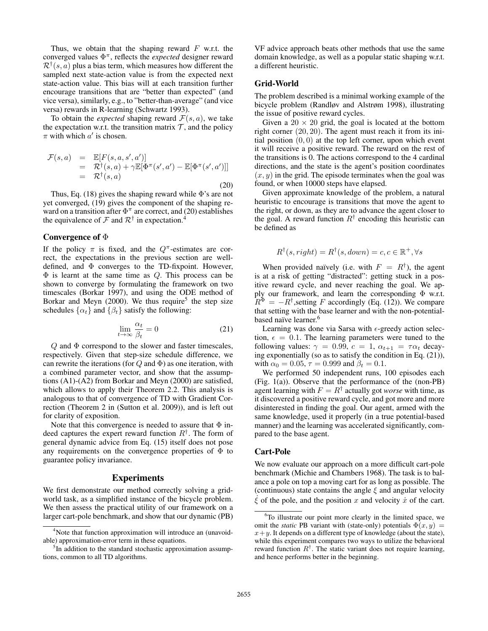Thus, we obtain that the shaping reward  $F$  w.r.t. the converged values Φ π , reflects the *expected* designer reward  $\mathcal{R}^{\dagger}(s, a)$  plus a bias term, which measures how different the sampled next state-action value is from the expected next state-action value. This bias will at each transition further encourage transitions that are "better than expected" (and vice versa), similarly, e.g., to "better-than-average" (and vice versa) rewards in R-learning (Schwartz 1993).

To obtain the *expected* shaping reward  $\mathcal{F}(s, a)$ , we take the expectation w.r.t. the transition matrix  $\mathcal{T}$ , and the policy  $\pi$  with which  $a'$  is chosen.

$$
\mathcal{F}(s, a) = \mathbb{E}[F(s, a, s', a')]
$$
  
\n
$$
= \mathcal{R}^{\dagger}(s, a) + \gamma \mathbb{E}[\Phi^{\pi}(s', a') - \mathbb{E}[\Phi^{\pi}(s', a')]]
$$
  
\n
$$
= \mathcal{R}^{\dagger}(s, a)
$$
\n(20)

Thus, Eq. (18) gives the shaping reward while  $\Phi$ 's are not yet converged, (19) gives the component of the shaping reward on a transition after  $\Phi^{\pi}$  are correct, and (20) establishes the equivalence of  $\mathcal F$  and  $\mathcal R^\dagger$  in expectation.<sup>4</sup>

#### Convergence of  $\Phi$

If the policy  $\pi$  is fixed, and the  $Q^{\pi}$ -estimates are correct, the expectations in the previous section are welldefined, and Φ converges to the TD-fixpoint. However,  $\Phi$  is learnt at the same time as  $Q$ . This process can be shown to converge by formulating the framework on two timescales (Borkar 1997), and using the ODE method of Borkar and Meyn  $(2000)$ . We thus require<sup>5</sup> the step size schedules  $\{\alpha_t\}$  and  $\{\beta_t\}$  satisfy the following:

$$
\lim_{t \to \infty} \frac{\alpha_t}{\beta_t} = 0 \tag{21}
$$

 $Q$  and  $\Phi$  correspond to the slower and faster timescales, respectively. Given that step-size schedule difference, we can rewrite the iterations (for  $Q$  and  $\Phi$ ) as one iteration, with a combined parameter vector, and show that the assumptions (A1)-(A2) from Borkar and Meyn (2000) are satisfied, which allows to apply their Theorem 2.2. This analysis is analogous to that of convergence of TD with Gradient Correction (Theorem 2 in (Sutton et al. 2009)), and is left out for clarity of exposition.

Note that this convergence is needed to assure that  $\Phi$  indeed captures the expert reward function  $R^{\dagger}$ . The form of general dynamic advice from Eq. (15) itself does not pose any requirements on the convergence properties of  $\Phi$  to guarantee policy invariance.

# **Experiments**

We first demonstrate our method correctly solving a gridworld task, as a simplified instance of the bicycle problem. We then assess the practical utility of our framework on a larger cart-pole benchmark, and show that our dynamic (PB)

VF advice approach beats other methods that use the same domain knowledge, as well as a popular static shaping w.r.t. a different heuristic.

## Grid-World

The problem described is a minimal working example of the bicycle problem (Randløv and Alstrøm 1998), illustrating the issue of positive reward cycles.

Given a  $20 \times 20$  grid, the goal is located at the bottom right corner (20, 20). The agent must reach it from its initial position  $(0, 0)$  at the top left corner, upon which event it will receive a positive reward. The reward on the rest of the transitions is 0. The actions correspond to the 4 cardinal directions, and the state is the agent's position coordinates  $(x, y)$  in the grid. The episode terminates when the goal was found, or when 10000 steps have elapsed.

Given approximate knowledge of the problem, a natural heuristic to encourage is transitions that move the agent to the right, or down, as they are to advance the agent closer to the goal. A reward function  $R^{\dagger}$  encoding this heuristic can be defined as

$$
R^{\dagger}(s, right) = R^{\dagger}(s, down) = c, c \in \mathbb{R}^+, \forall s
$$

When provided naïvely (i.e. with  $F = R^{\dagger}$ ), the agent is at a risk of getting "distracted": getting stuck in a positive reward cycle, and never reaching the goal. We apply our framework, and learn the corresponding Φ w.r.t.  $R^{\Phi} = -R^{\dagger}$ , setting F accordingly (Eq. (12)). We compare that setting with the base learner and with the non-potentialbased naïve learner.<sup>6</sup>

Learning was done via Sarsa with  $\epsilon$ -greedy action selection,  $\epsilon = 0.1$ . The learning parameters were tuned to the following values:  $\gamma = 0.99$ ,  $c = 1$ ,  $\alpha_{t+1} = \tau \alpha_t$  decaying exponentially (so as to satisfy the condition in Eq. (21)), with  $\alpha_0 = 0.05$ ,  $\tau = 0.999$  and  $\beta_t = 0.1$ .

We performed 50 independent runs, 100 episodes each (Fig. 1(a)). Observe that the performance of the (non-PB) agent learning with  $F = R^{\dagger}$  actually got *worse* with time, as it discovered a positive reward cycle, and got more and more disinterested in finding the goal. Our agent, armed with the same knowledge, used it properly (in a true potential-based manner) and the learning was accelerated significantly, compared to the base agent.

#### Cart-Pole

We now evaluate our approach on a more difficult cart-pole benchmark (Michie and Chambers 1968). The task is to balance a pole on top a moving cart for as long as possible. The (continuous) state contains the angle  $\xi$  and angular velocity  $\xi$  of the pole, and the position x and velocity x of the cart.

<sup>&</sup>lt;sup>4</sup>Note that function approximation will introduce an (unavoidable) approximation-error term in these equations.

<sup>&</sup>lt;sup>5</sup>In addition to the standard stochastic approximation assumptions, common to all TD algorithms.

<sup>&</sup>lt;sup>6</sup>To illustrate our point more clearly in the limited space, we omit the *static* PB variant with (state-only) potentials  $\Phi(x, y)$  =  $x+y$ . It depends on a different type of knowledge (about the state), while this experiment compares two ways to utilize the behavioral reward function  $R^{\dagger}$ . The static variant does not require learning, and hence performs better in the beginning.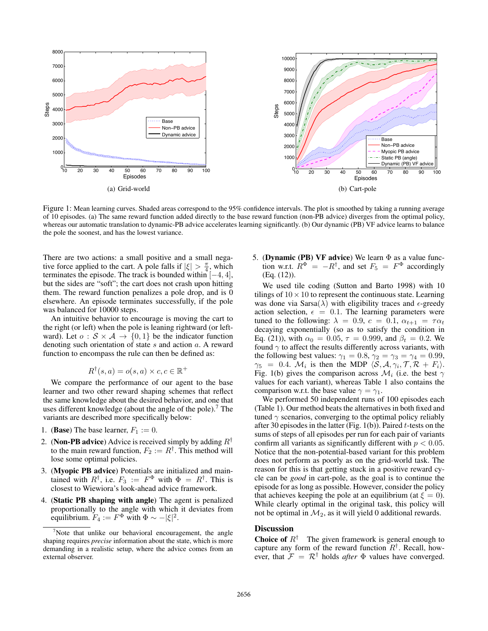

Figure 1: Mean learning curves. Shaded areas correspond to the 95% confidence intervals. The plot is smoothed by taking a running average of 10 episodes. (a) The same reward function added directly to the base reward function (non-PB advice) diverges from the optimal policy, whereas our automatic translation to dynamic-PB advice accelerates learning significantly. (b) Our dynamic (PB) VF advice learns to balance the pole the soonest, and has the lowest variance.

There are two actions: a small positive and a small negative force applied to the cart. A pole falls if  $|\xi| > \frac{\pi}{4}$ , which terminates the episode. The track is bounded within  $[-4, 4]$ , but the sides are "soft"; the cart does not crash upon hitting them. The reward function penalizes a pole drop, and is 0 elsewhere. An episode terminates successfully, if the pole was balanced for 10000 steps.

An intuitive behavior to encourage is moving the cart to the right (or left) when the pole is leaning rightward (or leftward). Let  $o : \mathcal{S} \times \mathcal{A} \rightarrow \{0,1\}$  be the indicator function denoting such orientation of state s and action a. A reward function to encompass the rule can then be defined as:

$$
R^{\dagger}(s, a) = o(s, a) \times c, c \in \mathbb{R}^+
$$

We compare the performance of our agent to the base learner and two other reward shaping schemes that reflect the same knowledge about the desired behavior, and one that uses different knowledge (about the angle of the pole).<sup>7</sup> The variants are described more specifically below:

- 1. (Base) The base learner,  $F_1 := 0$ .
- 2. (Non-PB advice) Advice is received simply by adding  $R^{\dagger}$ to the main reward function,  $F_2 := R^{\dagger}$ . This method will lose some optimal policies.
- 3. (Myopic PB advice) Potentials are initialized and maintained with  $R^{\dagger}$ , i.e.  $F_3 := F^{\Phi}$  with  $\Phi = R^{\dagger}$ . This is closest to Wiewiora's look-ahead advice framework.
- 4. (Static PB shaping with angle) The agent is penalized proportionally to the angle with which it deviates from equilibrium.  $F_4 := F^{\Phi}$  with  $\Phi \sim -|\xi|^2$ .

5. (Dynamic (PB) VF advice) We learn  $\Phi$  as a value function w.r.t.  $R^{\Phi} = -R^{\dagger}$ , and set  $F_5 = F^{\Phi}$  accordingly (Eq. (12)).

We used tile coding (Sutton and Barto 1998) with 10 tilings of  $10 \times 10$  to represent the continuous state. Learning was done via Sarsa( $\lambda$ ) with eligibility traces and  $\epsilon$ -greedy action selection,  $\epsilon = 0.1$ . The learning parameters were tuned to the following:  $\lambda = 0.9$ ,  $c = 0.1$ ,  $\alpha_{t+1} = \tau \alpha_t$ decaying exponentially (so as to satisfy the condition in Eq. (21)), with  $\alpha_0 = 0.05$ ,  $\tau = 0.999$ , and  $\beta_t = 0.2$ . We found  $\gamma$  to affect the results differently across variants, with the following best values:  $\gamma_1 = 0.8$ ,  $\gamma_2 = \gamma_3 = \gamma_4 = 0.99$ ,  $\gamma_5 = 0.4$ . M<sub>i</sub> is then the MDP  $\langle S, A, \gamma_i, T, R + F_i \rangle$ . Fig. 1(b) gives the comparison across  $\mathcal{M}_i$  (i.e. the best  $\gamma$ values for each variant), whereas Table 1 also contains the comparison w.r.t. the base value  $\gamma = \gamma_1$ .

We performed 50 independent runs of 100 episodes each (Table 1). Our method beats the alternatives in both fixed and tuned  $\gamma$  scenarios, converging to the optimal policy reliably after 30 episodes in the latter (Fig.  $1(b)$ ). Paired t-tests on the sums of steps of all episodes per run for each pair of variants confirm all variants as significantly different with  $p < 0.05$ . Notice that the non-potential-based variant for this problem does not perform as poorly as on the grid-world task. The reason for this is that getting stuck in a positive reward cycle can be *good* in cart-pole, as the goal is to continue the episode for as long as possible. However, consider the policy that achieves keeping the pole at an equilibrium (at  $\xi = 0$ ). While clearly optimal in the original task, this policy will not be optimal in  $\mathcal{M}_2$ , as it will yield 0 additional rewards.

## **Discussion**

**Choice of**  $R^{\dagger}$  The given framework is general enough to capture any form of the reward function  $R^{\dagger}$ . Recall, however, that  $\mathcal{F} = \mathcal{R}^{\dagger}$  holds *after*  $\Phi$  values have converged.

 $7$ Note that unlike our behavioral encouragement, the angle shaping requires *precise* information about the state, which is more demanding in a realistic setup, where the advice comes from an external observer.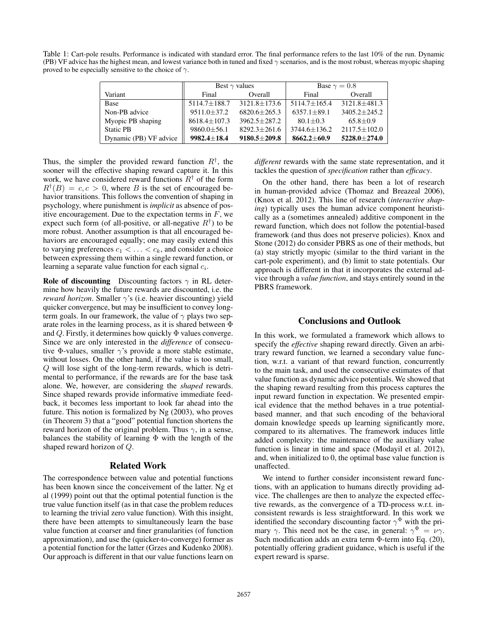Table 1: Cart-pole results. Performance is indicated with standard error. The final performance refers to the last 10% of the run. Dynamic (PB) VF advice has the highest mean, and lowest variance both in tuned and fixed  $\gamma$  scenarios, and is the most robust, whereas myopic shaping proved to be especially sensitive to the choice of  $\gamma$ .

|                        | Best $\gamma$ values |                    | Base $\gamma = 0.8$ |                    |
|------------------------|----------------------|--------------------|---------------------|--------------------|
| Variant                | Final                | Overall            | Final               | Overall            |
| <b>Base</b>            | $5114.7 \pm 188.7$   | $3121.8 \pm 173.6$ | $5114.7 + 165.4$    | $3121.8 + 481.3$   |
| Non-PB advice          | $9511.0 \pm 37.2$    | $6820.6 + 265.3$   | $6357.1 + 89.1$     | $3405.2 + 245.2$   |
| Myopic PB shaping      | $8618.4 \pm 107.3$   | $3962.5 + 287.2$   | $80.1 + 0.3$        | $65.8 + 0.9$       |
| <b>Static PB</b>       | $9860.0 \pm 56.1$    | $8292.3 \pm 261.6$ | $3744.6 \pm 136.2$  | $2117.5 \pm 102.0$ |
| Dynamic (PB) VF advice | $9982.4 + 18.4$      | $9180.5 \pm 209.8$ | $8662.2 + 60.9$     | $5228.0 \pm 274.0$ |

Thus, the simpler the provided reward function  $R^{\dagger}$ , the sooner will the effective shaping reward capture it. In this work, we have considered reward functions  $R^{\dagger}$  of the form  $R^{\dagger}(B) = c, c > 0$ , where B is the set of encouraged behavior transitions. This follows the convention of shaping in psychology, where punishment is *implicit* as absence of positive encouragement. Due to the expectation terms in  $F$ , we expect such form (of all-positive, or all-negative  $R^{\dagger}$ ) to be more robust. Another assumption is that all encouraged behaviors are encouraged equally; one may easily extend this to varying preferences  $c_1 < \ldots < c_k$ , and consider a choice between expressing them within a single reward function, or learning a separate value function for each signal  $c_i$ .

**Role of discounting** Discounting factors  $\gamma$  in RL determine how heavily the future rewards are discounted, i.e. the *reward horizon*. Smaller γ's (i.e. heavier discounting) yield quicker convergence, but may be insufficient to convey longterm goals. In our framework, the value of  $\gamma$  plays two separate roles in the learning process, as it is shared between Φ and  $Q$ . Firstly, it determines how quickly  $\Phi$  values converge. Since we are only interested in the *difference* of consecutive Φ-values, smaller  $\gamma$ 's provide a more stable estimate, without losses. On the other hand, if the value is too small, Q will lose sight of the long-term rewards, which is detrimental to performance, if the rewards are for the base task alone. We, however, are considering the *shaped* rewards. Since shaped rewards provide informative immediate feedback, it becomes less important to look far ahead into the future. This notion is formalized by Ng (2003), who proves (in Theorem 3) that a "good" potential function shortens the reward horizon of the original problem. Thus  $\gamma$ , in a sense, balances the stability of learning Φ with the length of the shaped reward horizon of Q.

### Related Work

The correspondence between value and potential functions has been known since the conceivement of the latter. Ng et al (1999) point out that the optimal potential function is the true value function itself (as in that case the problem reduces to learning the trivial zero value function). With this insight, there have been attempts to simultaneously learn the base value function at coarser and finer granularities (of function approximation), and use the (quicker-to-converge) former as a potential function for the latter (Grzes and Kudenko 2008). Our approach is different in that our value functions learn on

*different* rewards with the same state representation, and it tackles the question of *specification* rather than *efficacy*.

On the other hand, there has been a lot of research in human-provided advice (Thomaz and Breazeal 2006), (Knox et al. 2012). This line of research (*interactive shaping*) typically uses the human advice component heuristically as a (sometimes annealed) additive component in the reward function, which does not follow the potential-based framework (and thus does not preserve policies). Knox and Stone (2012) do consider PBRS as one of their methods, but (a) stay strictly myopic (similar to the third variant in the cart-pole experiment), and (b) limit to state potentials. Our approach is different in that it incorporates the external advice through a *value function*, and stays entirely sound in the PBRS framework.

# Conclusions and Outlook

In this work, we formulated a framework which allows to specify the *effective* shaping reward directly. Given an arbitrary reward function, we learned a secondary value function, w.r.t. a variant of that reward function, concurrently to the main task, and used the consecutive estimates of that value function as dynamic advice potentials. We showed that the shaping reward resulting from this process captures the input reward function in expectation. We presented empirical evidence that the method behaves in a true potentialbased manner, and that such encoding of the behavioral domain knowledge speeds up learning significantly more, compared to its alternatives. The framework induces little added complexity: the maintenance of the auxiliary value function is linear in time and space (Modayil et al. 2012), and, when initialized to 0, the optimal base value function is unaffected.

We intend to further consider inconsistent reward functions, with an application to humans directly providing advice. The challenges are then to analyze the expected effective rewards, as the convergence of a TD-process w.r.t. inconsistent rewards is less straightforward. In this work we identified the secondary discounting factor  $\gamma^{\Phi}$  with the primary  $\gamma$ . This need not be the case, in general:  $\gamma^{\Phi} = \nu \gamma$ . Such modification adds an extra term Φ-term into Eq. (20), potentially offering gradient guidance, which is useful if the expert reward is sparse.